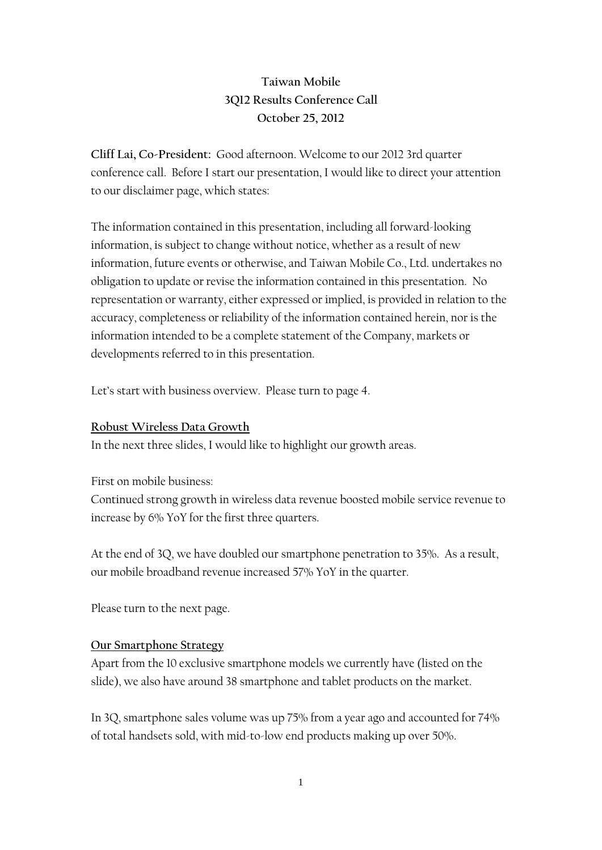### **Taiwan Mobile 3Q12 Results Conference Call October 25, 2012**

**Cliff Lai, Co-President:** Good afternoon. Welcome to our 2012 3rd quarter conference call. Before I start our presentation, I would like to direct your attention to our disclaimer page, which states:

The information contained in this presentation, including all forward-looking information, is subject to change without notice, whether as a result of new information, future events or otherwise, and Taiwan Mobile Co., Ltd. undertakes no obligation to update or revise the information contained in this presentation. No representation or warranty, either expressed or implied, is provided in relation to the accuracy, completeness or reliability of the information contained herein, nor is the information intended to be a complete statement of the Company, markets or developments referred to in this presentation.

Let's start with business overview. Please turn to page 4.

#### **Robust Wireless Data Growth**

In the next three slides, I would like to highlight our growth areas.

First on mobile business:

Continued strong growth in wireless data revenue boosted mobile service revenue to increase by 6% YoY for the first three quarters.

At the end of 3Q, we have doubled our smartphone penetration to 35%. As a result, our mobile broadband revenue increased 57% YoY in the quarter.

Please turn to the next page.

#### **Our Smartphone Strategy**

Apart from the 10 exclusive smartphone models we currently have (listed on the slide), we also have around 38 smartphone and tablet products on the market.

In 3Q, smartphone sales volume was up 75% from a year ago and accounted for 74% of total handsets sold, with mid-to-low end products making up over 50%.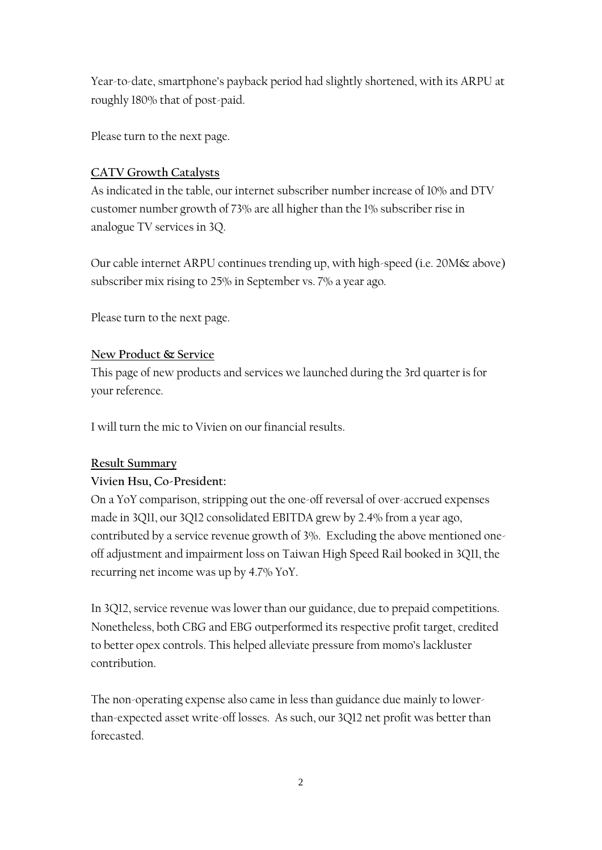Year-to-date, smartphone's payback period had slightly shortened, with its ARPU at roughly 180% that of post-paid.

Please turn to the next page.

### **CATV Growth Catalysts**

As indicated in the table, our internet subscriber number increase of 10% and DTV customer number growth of 73% are all higher than the 1% subscriber rise in analogue TV services in 3Q.

Our cable internet ARPU continues trending up, with high-speed (i.e. 20M& above) subscriber mix rising to 25% in September vs. 7% a year ago.

Please turn to the next page.

#### **New Product & Service**

This page of new products and services we launched during the 3rd quarter is for your reference.

I will turn the mic to Vivien on our financial results.

#### **Result Summary**

### **Vivien Hsu, Co-President:**

On a YoY comparison, stripping out the one-off reversal of over-accrued expenses made in 3Q11, our 3Q12 consolidated EBITDA grew by 2.4% from a year ago, contributed by a service revenue growth of 3%. Excluding the above mentioned oneoff adjustment and impairment loss on Taiwan High Speed Rail booked in 3Q11, the recurring net income was up by 4.7% YoY.

In 3Q12, service revenue was lower than our guidance, due to prepaid competitions. Nonetheless, both CBG and EBG outperformed its respective profit target, credited to better opex controls. This helped alleviate pressure from momo's lackluster contribution.

The non-operating expense also came in less than guidance due mainly to lowerthan-expected asset write-off losses. As such, our 3Q12 net profit was better than forecasted.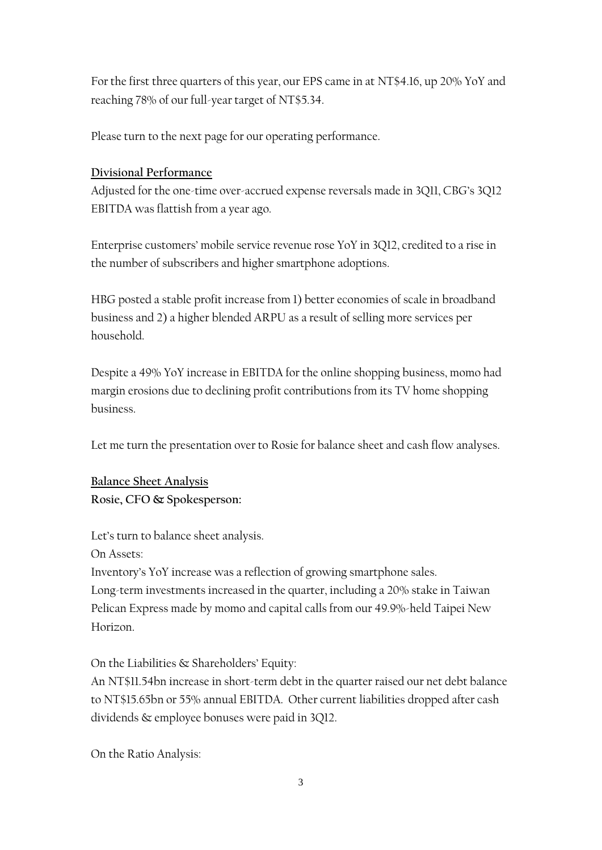For the first three quarters of this year, our EPS came in at NT\$4.16, up 20% YoY and reaching 78% of our full-year target of NT\$5.34.

Please turn to the next page for our operating performance.

#### **Divisional Performance**

Adjusted for the one-time over-accrued expense reversals made in 3Q11, CBG's 3Q12 EBITDA was flattish from a year ago.

Enterprise customers' mobile service revenue rose YoY in 3Q12, credited to a rise in the number of subscribers and higher smartphone adoptions.

HBG posted a stable profit increase from 1) better economies of scale in broadband business and 2) a higher blended ARPU as a result of selling more services per household.

Despite a 49% YoY increase in EBITDA for the online shopping business, momo had margin erosions due to declining profit contributions from its TV home shopping business.

Let me turn the presentation over to Rosie for balance sheet and cash flow analyses.

**Balance Sheet Analysis Rosie, CFO & Spokesperson:**

Let's turn to balance sheet analysis.

On Assets:

Inventory's YoY increase was a reflection of growing smartphone sales. Long-term investments increased in the quarter, including a 20% stake in Taiwan Pelican Express made by momo and capital calls from our 49.9%-held Taipei New Horizon.

On the Liabilities & Shareholders' Equity:

An NT\$11.54bn increase in short-term debt in the quarter raised our net debt balance to NT\$15.65bn or 55% annual EBITDA. Other current liabilities dropped after cash dividends & employee bonuses were paid in 3Q12.

On the Ratio Analysis: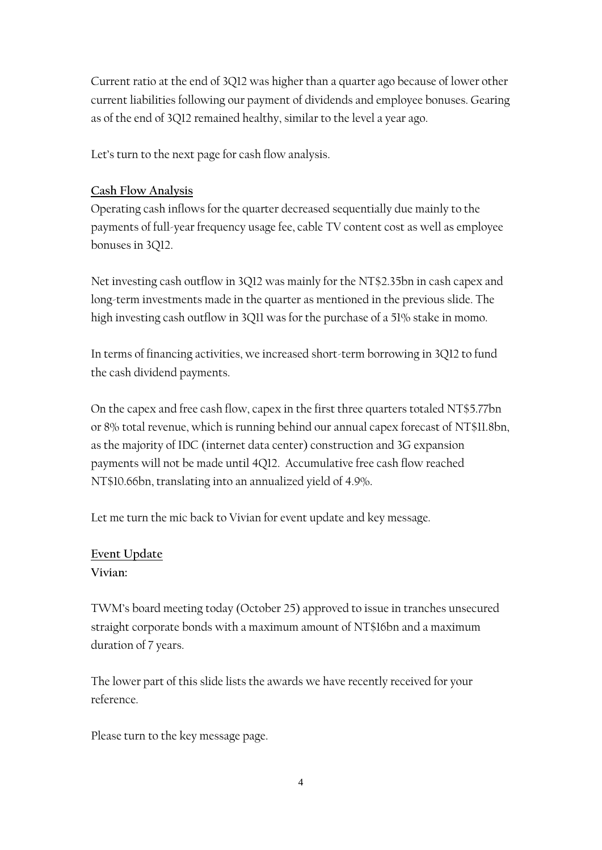Current ratio at the end of 3Q12 was higher than a quarter ago because of lower other current liabilities following our payment of dividends and employee bonuses. Gearing as of the end of 3Q12 remained healthy, similar to the level a year ago.

Let's turn to the next page for cash flow analysis.

### **Cash Flow Analysis**

Operating cash inflows for the quarter decreased sequentially due mainly to the payments of full-year frequency usage fee, cable TV content cost as well as employee bonuses in 3Q12.

Net investing cash outflow in 3Q12 was mainly for the NT\$2.35bn in cash capex and long-term investments made in the quarter as mentioned in the previous slide. The high investing cash outflow in 3Q11 was for the purchase of a 51% stake in momo.

In terms of financing activities, we increased short-term borrowing in 3Q12 to fund the cash dividend payments.

On the capex and free cash flow, capex in the first three quarters totaled NT\$5.77bn or 8% total revenue, which is running behind our annual capex forecast of NT\$11.8bn, as the majority of IDC (internet data center) construction and 3G expansion payments will not be made until 4Q12. Accumulative free cash flow reached NT\$10.66bn, translating into an annualized yield of 4.9%.

Let me turn the mic back to Vivian for event update and key message.

# **Event Update**

### **Vivian:**

TWM's board meeting today (October 25) approved to issue in tranches unsecured straight corporate bonds with a maximum amount of NT\$16bn and a maximum duration of 7 years.

The lower part of this slide lists the awards we have recently received for your reference.

Please turn to the key message page.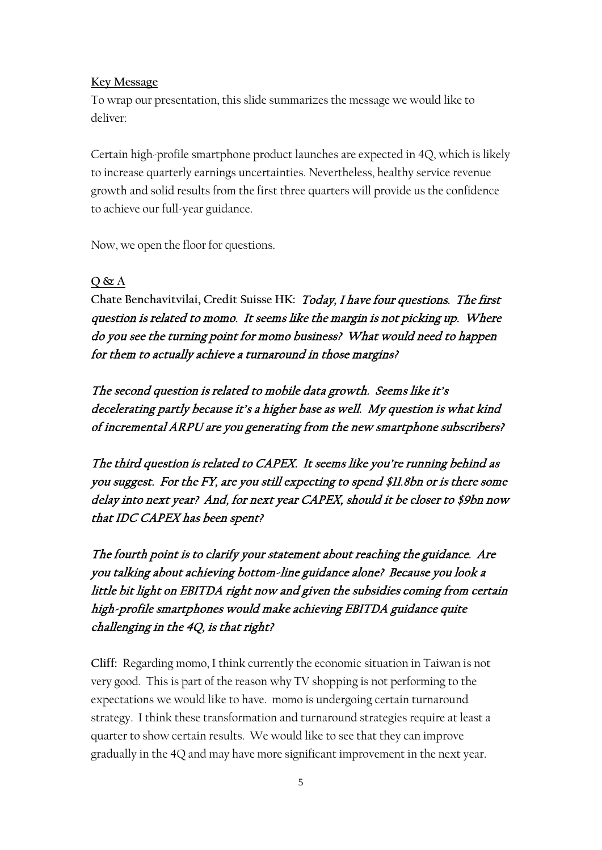#### **Key Message**

To wrap our presentation, this slide summarizes the message we would like to deliver:

Certain high-profile smartphone product launches are expected in 4Q, which is likely to increase quarterly earnings uncertainties. Nevertheless, healthy service revenue growth and solid results from the first three quarters will provide us the confidence to achieve our full-year guidance.

Now, we open the floor for questions.

#### **Q & A**

**Chate Benchavitvilai, Credit Suisse HK:** Today, I have four questions. The first question is related to momo. It seems like the margin is not picking up. Where do you see the turning point for momo business? What would need to happen for them to actually achieve a turnaround in those margins?

The second question is related to mobile data growth. Seems like it's decelerating partly because it's a higher base as well. My question is what kind of incremental ARPU are you generating from the new smartphone subscribers?

The third question is related to CAPEX. It seems like you're running behind as you suggest. For the FY, are you still expecting to spend \$11.8bn or is there some delay into next year? And, for next year CAPEX, should it be closer to \$9bn now that IDC CAPEX has been spent?

The fourth point is to clarify your statement about reaching the guidance. Are you talking about achieving bottom-line guidance alone? Because you look a little bit light on EBITDA right now and given the subsidies coming from certain high-profile smartphones would make achieving EBITDA guidance quite challenging in the 4Q, is that right?

**Cliff:** Regarding momo, I think currently the economic situation in Taiwan is not very good. This is part of the reason why TV shopping is not performing to the expectations we would like to have. momo is undergoing certain turnaround strategy. I think these transformation and turnaround strategies require at least a quarter to show certain results. We would like to see that they can improve gradually in the 4Q and may have more significant improvement in the next year.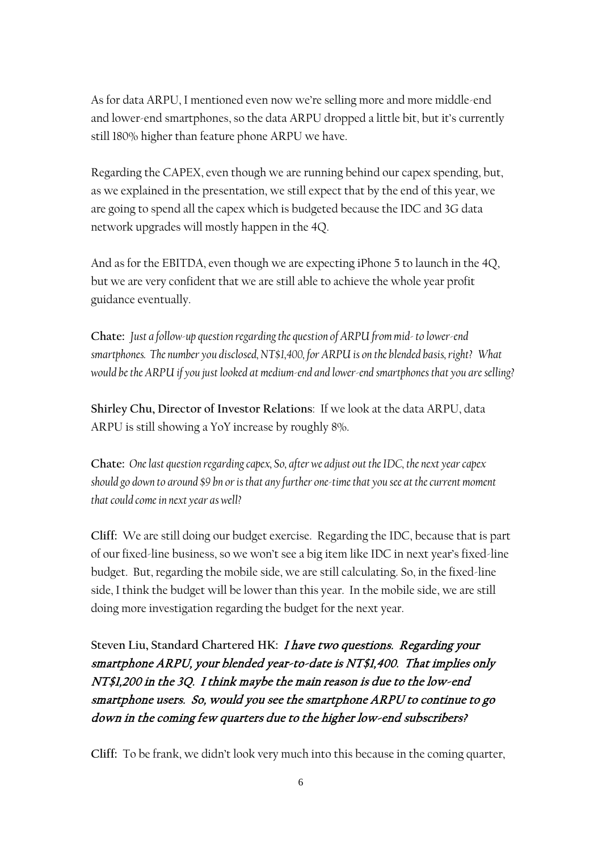As for data ARPU, I mentioned even now we're selling more and more middle-end and lower-end smartphones, so the data ARPU dropped a little bit, but it's currently still 180% higher than feature phone ARPU we have.

Regarding the CAPEX, even though we are running behind our capex spending, but, as we explained in the presentation, we still expect that by the end of this year, we are going to spend all the capex which is budgeted because the IDC and 3G data network upgrades will mostly happen in the 4Q.

And as for the EBITDA, even though we are expecting iPhone 5 to launch in the 4Q, but we are very confident that we are still able to achieve the whole year profit guidance eventually.

**Chate:** *Just a follow-up question regarding the question of ARPU from mid- to lower-end smartphones. The number you disclosed, NT\$1,400, for ARPU is on the blended basis, right? What would be the ARPU if you just looked at medium-end and lower-end smartphones that you are selling?*

**Shirley Chu, Director of Investor Relations**:If we look at the data ARPU, data ARPU is still showing a YoY increase by roughly 8%.

**Chate:** *One last question regarding capex, So, after we adjust out the IDC, the next year capex should go down to around \$9 bn or is that any further one-time that you see at the current moment that could come in next year as well?*

**Cliff:** We are still doing our budget exercise. Regarding the IDC, because that is part of our fixed-line business, so we won't see a big item like IDC in next year's fixed-line budget. But, regarding the mobile side, we are still calculating. So, in the fixed-line side, I think the budget will be lower than this year. In the mobile side, we are still doing more investigation regarding the budget for the next year.

**Steven Liu, Standard Chartered HK:** I have two questions. Regarding your smartphone ARPU, your blended year-to-date is NT\$1,400. That implies only NT\$1,200 in the 3Q. I think maybe the main reason is due to the low-end smartphone users. So, would you see the smartphone ARPU to continue to go down in the coming few quarters due to the higher low-end subscribers?

**Cliff:** To be frank, we didn't look very much into this because in the coming quarter,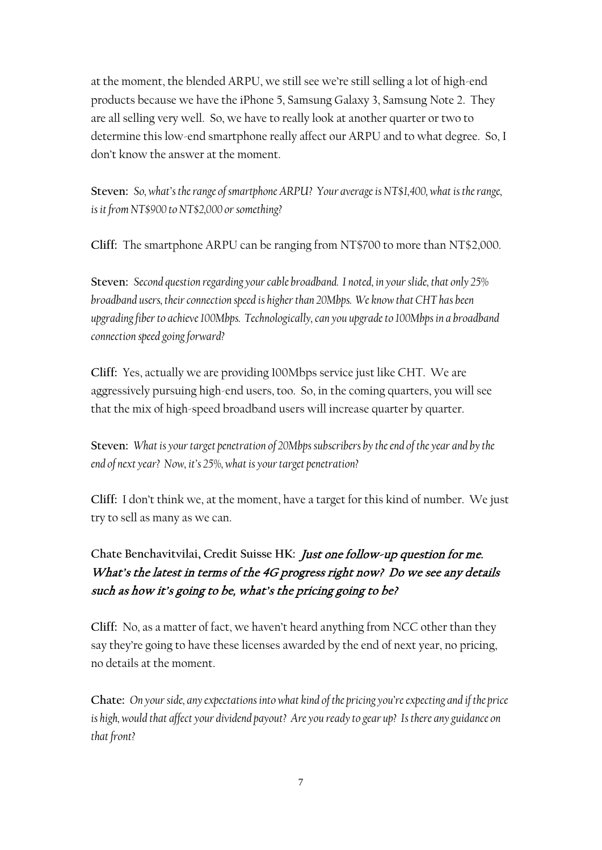at the moment, the blended ARPU, we still see we're still selling a lot of high-end products because we have the iPhone 5, Samsung Galaxy 3, Samsung Note 2. They are all selling very well. So, we have to really look at another quarter or two to determine this low-end smartphone really affect our ARPU and to what degree. So, I don't know the answer at the moment.

**Steven:** *So, what's the range of smartphone ARPU? Your average is NT\$1,400, what is the range, is it from NT\$900 to NT\$2,000 or something?*

**Cliff:** The smartphone ARPU can be ranging from NT\$700 to more than NT\$2,000.

**Steven:** *Second question regarding your cable broadband. I noted, in your slide, that only 25% broadband users, their connection speed is higher than 20Mbps. We know that CHT has been upgrading fiber to achieve 100Mbps. Technologically, can you upgrade to 100Mbps in a broadband connection speed going forward?*

**Cliff:** Yes, actually we are providing 100Mbps service just like CHT. We are aggressively pursuing high-end users, too. So, in the coming quarters, you will see that the mix of high-speed broadband users will increase quarter by quarter.

**Steven:** *What is your target penetration of 20Mbps subscribers by the end of the year and by the end of next year? Now, it's 25%, what is your target penetration?*

**Cliff:** I don't think we, at the moment, have a target for this kind of number. We just try to sell as many as we can.

# **Chate Benchavitvilai, Credit Suisse HK:** Just one follow-up question for me. What's the latest in terms of the 4G progress right now? Do we see any details such as how it's going to be, what's the pricing going to be?

**Cliff:** No, as a matter of fact, we haven't heard anything from NCC other than they say they're going to have these licenses awarded by the end of next year, no pricing, no details at the moment.

**Chate:** *On your side, any expectationsinto what kind of the pricing you're expecting and if the price is high, would that affect your dividend payout? Are you ready to gear up? Is there any guidance on that front?*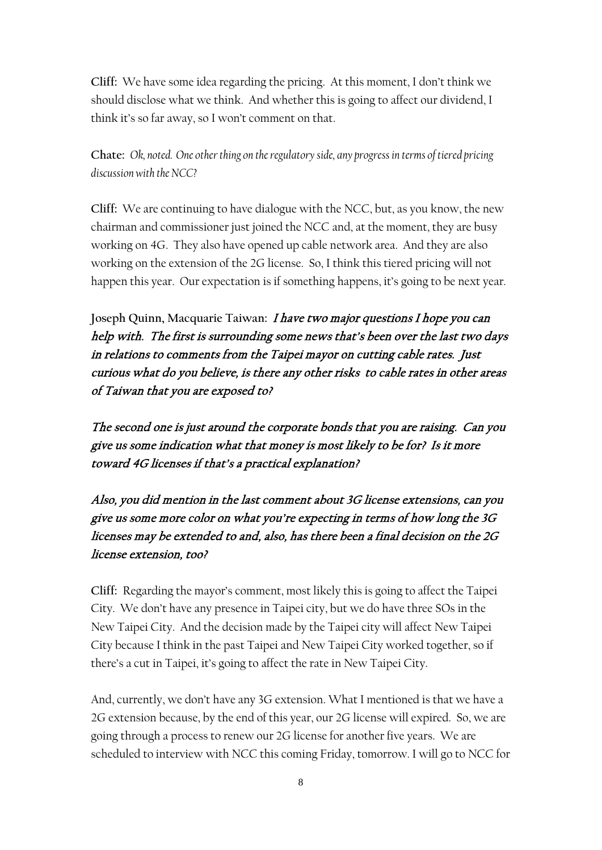**Cliff:** We have some idea regarding the pricing. At this moment, I don't think we should disclose what we think. And whether this is going to affect our dividend, I think it's so far away, so I won't comment on that.

**Chate:** *Ok, noted. One other thing on the regulatory side, any progress in terms of tiered pricing discussion with the NCC?*

**Cliff:** We are continuing to have dialogue with the NCC, but, as you know, the new chairman and commissioner just joined the NCC and, at the moment, they are busy working on 4G. They also have opened up cable network area. And they are also working on the extension of the 2G license. So, I think this tiered pricing will not happen this year. Our expectation is if something happens, it's going to be next year.

**Joseph Quinn, Macquarie Taiwan:** I have two major questions I hope you can help with. The first is surrounding some news that's been over the last two days in relations to comments from the Taipei mayor on cutting cable rates. Just curious what do you believe, is there any other risks to cable rates in other areas of Taiwan that you are exposed to?

The second one is just around the corporate bonds that you are raising. Can you give us some indication what that money is most likely to be for? Is it more toward 4G licenses if that's a practical explanation?

Also, you did mention in the last comment about 3G license extensions, can you give us some more color on what you're expecting in terms of how long the 3G licenses may be extended to and, also, has there been a final decision on the 2G license extension, too?

**Cliff:** Regarding the mayor's comment, most likely this is going to affect the Taipei City. We don't have any presence in Taipei city, but we do have three SOs in the New Taipei City. And the decision made by the Taipei city will affect New Taipei City because I think in the past Taipei and New Taipei City worked together, so if there's a cut in Taipei, it's going to affect the rate in New Taipei City.

And, currently, we don't have any 3G extension. What I mentioned is that we have a 2G extension because, by the end of this year, our 2G license will expired. So, we are going through a process to renew our 2G license for another five years. We are scheduled to interview with NCC this coming Friday, tomorrow. I will go to NCC for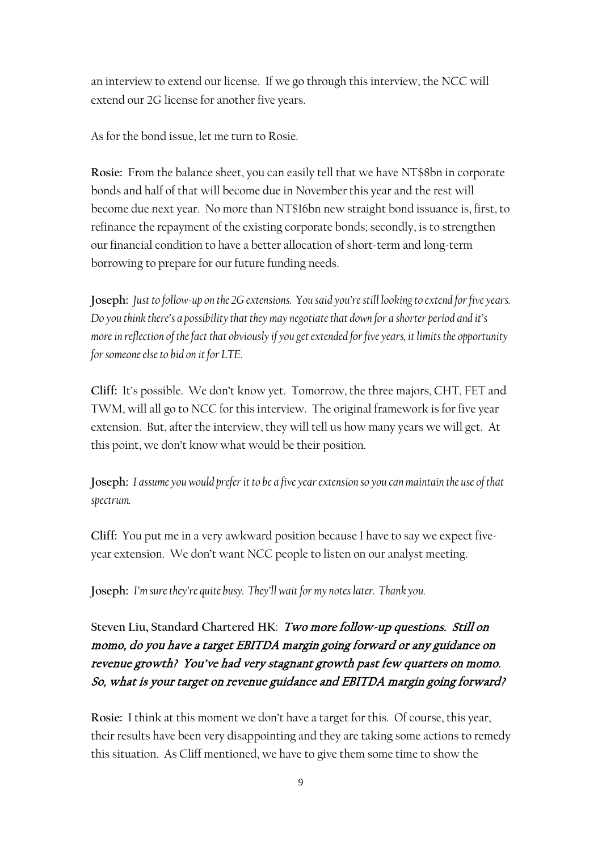an interview to extend our license. If we go through this interview, the NCC will extend our 2G license for another five years.

As for the bond issue, let me turn to Rosie.

**Rosie:** From the balance sheet, you can easily tell that we have NT\$8bn in corporate bonds and half of that will become due in November this year and the rest will become due next year. No more than NT\$16bn new straight bond issuance is, first, to refinance the repayment of the existing corporate bonds; secondly, is to strengthen our financial condition to have a better allocation of short-term and long-term borrowing to prepare for our future funding needs.

**Joseph:** *Just to follow-up on the 2G extensions. You said you're still looking to extend for five years. Do you think there's a possibility that they may negotiate that down for a shorter period and it's more in reflection of the fact that obviously if you get extended for five years, it limits the opportunity for someone else to bid on it for LTE.* 

**Cliff:** It's possible. We don't know yet. Tomorrow, the three majors, CHT, FET and TWM, will all go to NCC for this interview. The original framework is for five year extension. But, after the interview, they will tell us how many years we will get. At this point, we don't know what would be their position.

**Joseph:** *I assume you would prefer it to be a five year extension so you can maintain the use of that spectrum.* 

**Cliff:** You put me in a very awkward position because I have to say we expect fiveyear extension. We don't want NCC people to listen on our analyst meeting.

**Joseph:** *I'm sure they're quite busy. They'll wait for my notes later. Thank you.*

**Steven Liu, Standard Chartered HK**: Two more follow-up questions. Still on momo, do you have a target EBITDA margin going forward or any guidance on revenue growth? You've had very stagnant growth past few quarters on momo. So, what is your target on revenue guidance and EBITDA margin going forward?

**Rosie:** I think at this moment we don't have a target for this. Of course, this year, their results have been very disappointing and they are taking some actions to remedy this situation. As Cliff mentioned, we have to give them some time to show the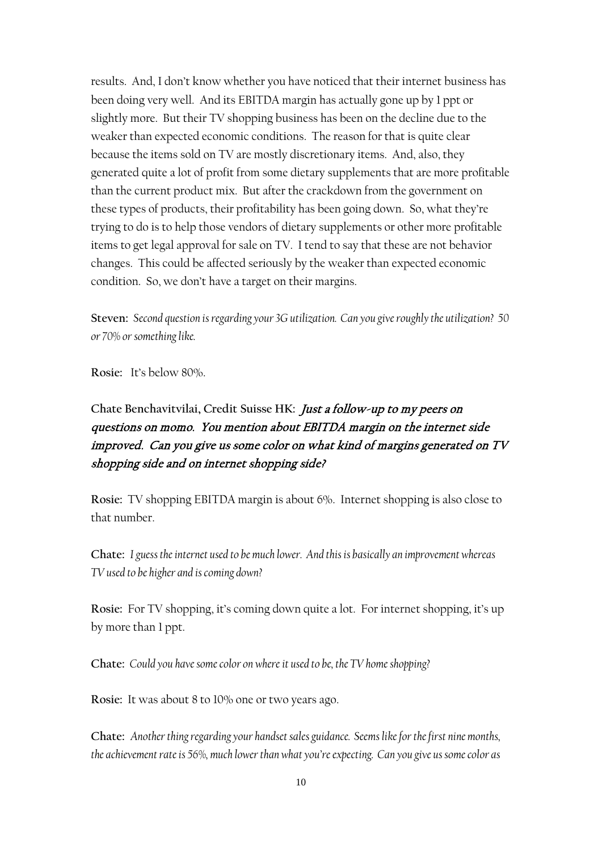results. And, I don't know whether you have noticed that their internet business has been doing very well. And its EBITDA margin has actually gone up by 1 ppt or slightly more. But their TV shopping business has been on the decline due to the weaker than expected economic conditions. The reason for that is quite clear because the items sold on TV are mostly discretionary items. And, also, they generated quite a lot of profit from some dietary supplements that are more profitable than the current product mix. But after the crackdown from the government on these types of products, their profitability has been going down. So, what they're trying to do is to help those vendors of dietary supplements or other more profitable items to get legal approval for sale on TV. I tend to say that these are not behavior changes. This could be affected seriously by the weaker than expected economic condition. So, we don't have a target on their margins.

**Steven:** *Second question is regarding your 3G utilization. Can you give roughly the utilization? 50 or 70% or something like.*

**Rosie:** It's below 80%.

# **Chate Benchavitvilai, Credit Suisse HK:** Just a follow-up to my peers on questions on momo. You mention about EBITDA margin on the internet side improved. Can you give us some color on what kind of margins generated on TV shopping side and on internet shopping side?

**Rosie:** TV shopping EBITDA margin is about 6%. Internet shopping is also close to that number.

**Chate:** *I guess the internet used to be much lower. And this is basically an improvement whereas TV used to be higher and is coming down?*

**Rosie:** For TV shopping, it's coming down quite a lot. For internet shopping, it's up by more than 1 ppt.

**Chate:** *Could you have some color on where it used to be, the TV home shopping?*

**Rosie:** It was about 8 to 10% one or two years ago.

**Chate:** *Another thing regarding your handset sales guidance. Seems like for the first nine months, the achievement rate is 56%, much lower than what you're expecting. Can you give us some color as*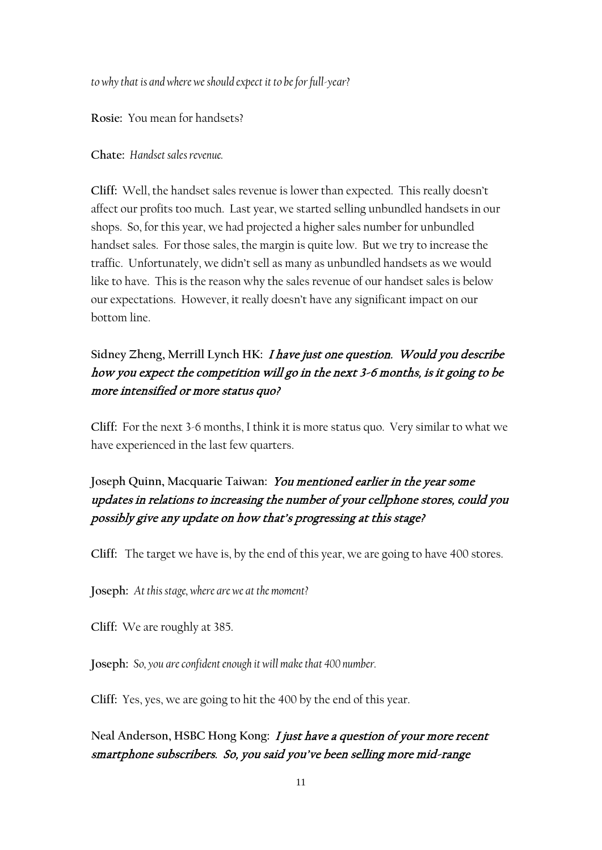*to why that is and where we should expect it to be for full-year?*

**Rosie:** You mean for handsets?

**Chate:** *Handset sales revenue.*

**Cliff:** Well, the handset sales revenue is lower than expected. This really doesn't affect our profits too much. Last year, we started selling unbundled handsets in our shops. So, for this year, we had projected a higher sales number for unbundled handset sales. For those sales, the margin is quite low. But we try to increase the traffic. Unfortunately, we didn't sell as many as unbundled handsets as we would like to have. This is the reason why the sales revenue of our handset sales is below our expectations. However, it really doesn't have any significant impact on our bottom line.

## **Sidney Zheng, Merrill Lynch HK:** I have just one question. Would you describe how you expect the competition will go in the next 3-6 months, is it going to be more intensified or more status quo?

**Cliff:** For the next 3-6 months, I think it is more status quo. Very similar to what we have experienced in the last few quarters.

## **Joseph Quinn, Macquarie Taiwan:** You mentioned earlier in the year some updates in relations to increasing the number of your cellphone stores, could you possibly give any update on how that's progressing at this stage?

**Cliff:** The target we have is, by the end of this year, we are going to have 400 stores.

**Joseph:** *At this stage, where are we at the moment?*

**Cliff:** We are roughly at 385.

**Joseph:** *So, you are confident enough it will make that 400 number.* 

**Cliff:** Yes, yes, we are going to hit the 400 by the end of this year.

**Neal Anderson, HSBC Hong Kong:** I just have a question of your more recent smartphone subscribers. So, you said you've been selling more mid-range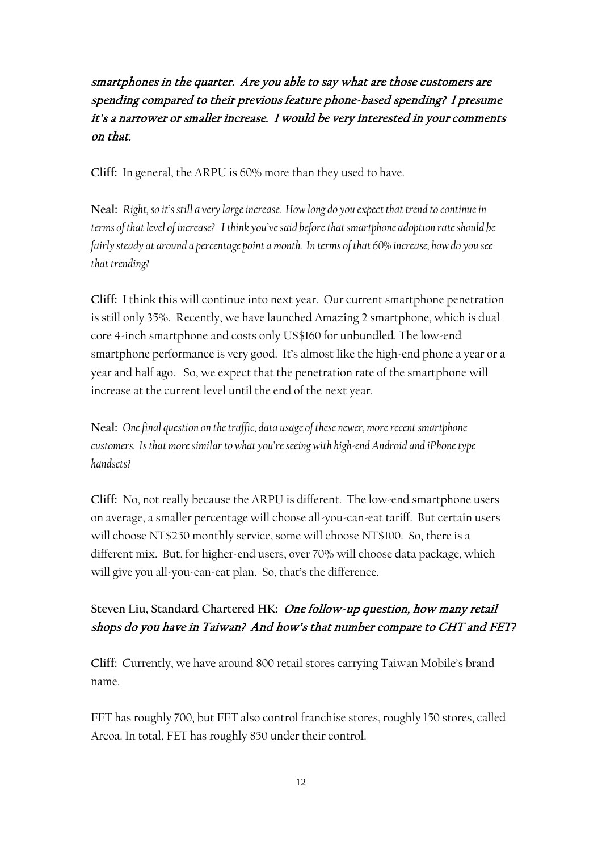## smartphones in the quarter. Are you able to say what are those customers are spending compared to their previous feature phone-based spending? I presume it's a narrower or smaller increase. I would be very interested in your comments on that.

**Cliff:** In general, the ARPU is 60% more than they used to have.

**Neal:** *Right, so it's still a very large increase. How long do you expect that trend to continue in terms of that level of increase? I think you've said before that smartphone adoption rate should be fairly steady at around a percentage point a month. In terms of that 60% increase, how do you see that trending?* 

**Cliff:** I think this will continue into next year. Our current smartphone penetration is still only 35%. Recently, we have launched Amazing 2 smartphone, which is dual core 4-inch smartphone and costs only US\$160 for unbundled. The low-end smartphone performance is very good. It's almost like the high-end phone a year or a year and half ago. So, we expect that the penetration rate of the smartphone will increase at the current level until the end of the next year.

**Neal:** *One final question on the traffic, data usage of these newer, more recent smartphone customers. Is that more similar to what you're seeing with high-end Android and iPhone type handsets?*

**Cliff:** No, not really because the ARPU is different. The low-end smartphone users on average, a smaller percentage will choose all-you-can-eat tariff. But certain users will choose NT\$250 monthly service, some will choose NT\$100. So, there is a different mix. But, for higher-end users, over 70% will choose data package, which will give you all-you-can-eat plan. So, that's the difference.

### **Steven Liu, Standard Chartered HK:** One follow-up question, how many retail shops do you have in Taiwan? And how's that number compare to CHT and FET?

**Cliff:** Currently, we have around 800 retail stores carrying Taiwan Mobile's brand name.

FET has roughly 700, but FET also control franchise stores, roughly 150 stores, called Arcoa. In total, FET has roughly 850 under their control.